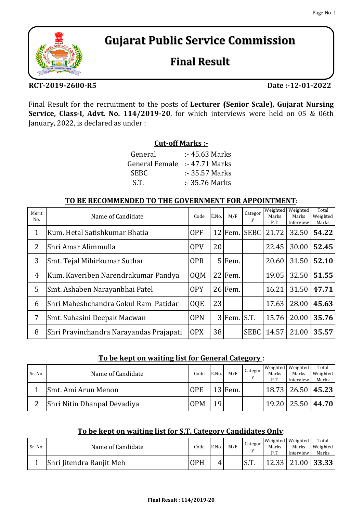# **Gujarat Public Service Commission**

## **Final Result**

### **RCT-2019-2600-R5**

**Date :-12-01-2022**

Final Result for the recruitment to the posts of **Lecturer (Senior Scale), Gujarat Nursing Service, Class-I, Advt. No. 114/2019-20**, for which interviews were held on 05 & 06th January, 2022, is declared as under :

## **Cut-off Marks :-**

| $: 45.63$ Marks |
|-----------------|
| $: 47.71$ Marks |
| $: 35.57$ Marks |
| $: 35.76$ Marks |
|                 |

#### **TO BE RECOMMENDED TO THE GOVERNMENT FOR APPOINTMENT**:

| Merit<br>No.   | Name of Candidate                       | Code       | E.No. | M/F             | Categor      | Weighted<br>Marks<br>P.T. | Weighted<br>Marks<br>Interview | Total<br>Weighted<br>Marks |
|----------------|-----------------------------------------|------------|-------|-----------------|--------------|---------------------------|--------------------------------|----------------------------|
| $\mathbf 1$    | Kum. Hetal Satishkumar Bhatia           | <b>OPF</b> |       |                 | 12 Fem. SEBC | 21.72                     | 32.50                          | 54.22                      |
| $\overline{2}$ | Shri Amar Alimmulla                     | <b>OPV</b> | 20    |                 |              | 22.45                     | 30.00                          | 52.45                      |
| 3              | Smt. Tejal Mihirkumar Suthar            | <b>OPR</b> |       | 5 Fem.          |              | 20.60                     | 31.50                          | 52.10                      |
| $\overline{4}$ | Kum. Kaveriben Narendrakumar Pandya     | <b>OQM</b> |       | $22$ Fem.       |              | 19.05                     | 32.50                          | 51.55                      |
| 5              | Smt. Ashaben Narayanbhai Patel          | <b>OPY</b> |       | $26$ Fem.       |              | 16.21                     | 31.50                          | 47.71                      |
| 6              | Shri Maheshchandra Gokul Ram Patidar    | <b>OQE</b> | 23    |                 |              | 17.63                     | 28.00                          | 45.63                      |
| 7              | Smt. Suhasini Deepak Macwan             | <b>OPN</b> |       | $3$ Fem. $S.T.$ |              | 15.76                     | 20.00                          | 35.76                      |
| 8              | Shri Pravinchandra Narayandas Prajapati | <b>OPX</b> | 38    |                 | <b>SEBC</b>  | 14.57                     | 21.00                          | 35.57                      |

### **To be kept on waiting list for General Category** :

| Sr. No. | Name of Candidate           | Code       | E.No. | M/F       | Categor<br>$\mathbf{V}$ | Marks<br>P.T. | Weighted Weighted<br>Marks<br>Interview | Total<br>Weighted<br>Marks |
|---------|-----------------------------|------------|-------|-----------|-------------------------|---------------|-----------------------------------------|----------------------------|
|         | Smt. Ami Arun Menon         | <b>OPE</b> |       | $13$ Fem. |                         |               | $18.73$   26.50   45.23                 |                            |
| っ       | Shri Nitin Dhanpal Devadiya | <b>OPM</b> | 19    |           |                         |               | 19.20   25.50   44.70                   |                            |

### **To be kept on waiting list for S.T. Category Candidates Only**:

| Sr. No. | Name of Candidate        | Code       | E.No. | M/F | Categor       |       | Weighted Weighted | Total                 |
|---------|--------------------------|------------|-------|-----|---------------|-------|-------------------|-----------------------|
|         |                          |            |       |     |               | Marks | Marks             | Weighted              |
|         |                          |            |       |     |               | P.T.  | Interview         | Marks                 |
|         | Shri Jitendra Ranjit Meh | <b>OPH</b> | 4     |     | $\sim$ $\sim$ |       |                   | 12.33   21.00   33.33 |